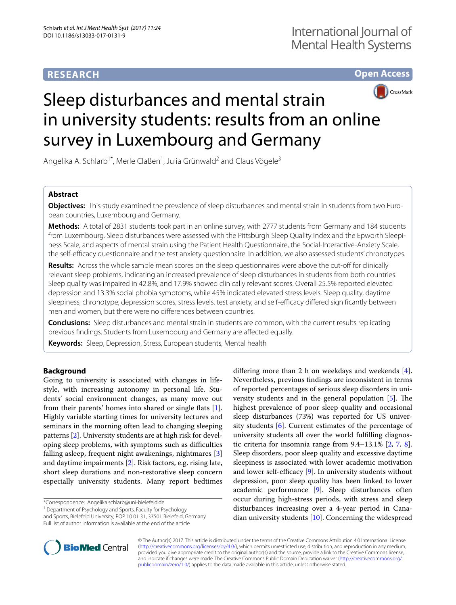# **RESEARCH**

**Open Access**



# Sleep disturbances and mental strain in university students: results from an online survey in Luxembourg and Germany

Angelika A. Schlarb<sup>1\*</sup>, Merle Claßen<sup>1</sup>, Julia Grünwald<sup>2</sup> and Claus Vögele<sup>3</sup>

#### **Abstract**

**Objectives:** This study examined the prevalence of sleep disturbances and mental strain in students from two European countries, Luxembourg and Germany.

**Methods:** A total of 2831 students took part in an online survey, with 2777 students from Germany and 184 students from Luxembourg. Sleep disturbances were assessed with the Pittsburgh Sleep Quality Index and the Epworth Sleepiness Scale, and aspects of mental strain using the Patient Health Questionnaire, the Social-Interactive-Anxiety Scale, the self-efficacy questionnaire and the test anxiety questionnaire. In addition, we also assessed students' chronotypes.

**Results:** Across the whole sample mean scores on the sleep questionnaires were above the cut-off for clinically relevant sleep problems, indicating an increased prevalence of sleep disturbances in students from both countries. Sleep quality was impaired in 42.8%, and 17.9% showed clinically relevant scores. Overall 25.5% reported elevated depression and 13.3% social phobia symptoms, while 45% indicated elevated stress levels. Sleep quality, daytime sleepiness, chronotype, depression scores, stress levels, test anxiety, and self-efficacy differed significantly between men and women, but there were no differences between countries.

**Conclusions:** Sleep disturbances and mental strain in students are common, with the current results replicating previous findings. Students from Luxembourg and Germany are affected equally.

**Keywords:** Sleep, Depression, Stress, European students, Mental health

#### **Background**

Going to university is associated with changes in lifestyle, with increasing autonomy in personal life. Students' social environment changes, as many move out from their parents' homes into shared or single flats [\[1](#page-8-0)]. Highly variable starting times for university lectures and seminars in the morning often lead to changing sleeping patterns [[2\]](#page-8-1). University students are at high risk for developing sleep problems, with symptoms such as difficulties falling asleep, frequent night awakenings, nightmares [\[3](#page-8-2)] and daytime impairments [\[2\]](#page-8-1). Risk factors, e.g. rising late, short sleep durations and non-restorative sleep concern especially university students. Many report bedtimes

\*Correspondence: Angelika.schlarb@uni-bielefeld.de 1

<sup>1</sup> Department of Psychology and Sports, Faculty for Psychology and Sports, Bielefeld University, POP 10 01 31, 33501 Bielefeld, Germany Full list of author information is available at the end of the article

differing more than 2 h on weekdays and weekends [\[4](#page-8-3)]. Nevertheless, previous findings are inconsistent in terms of reported percentages of serious sleep disorders in university students and in the general population [[5\]](#page-8-4). The highest prevalence of poor sleep quality and occasional sleep disturbances (73%) was reported for US university students [\[6](#page-8-5)]. Current estimates of the percentage of university students all over the world fulfilling diagnostic criteria for insomnia range from  $9.4-13.1\%$  [[2,](#page-8-1) [7](#page-8-6), [8](#page-8-7)]. Sleep disorders, poor sleep quality and excessive daytime sleepiness is associated with lower academic motivation and lower self-efficacy [\[9\]](#page-8-8). In university students without depression, poor sleep quality has been linked to lower academic performance [[9\]](#page-8-8). Sleep disturbances often occur during high-stress periods, with stress and sleep disturbances increasing over a 4-year period in Canadian university students  $[10]$ . Concerning the widespread



© The Author(s) 2017. This article is distributed under the terms of the Creative Commons Attribution 4.0 International License [\(http://creativecommons.org/licenses/by/4.0/\)](http://creativecommons.org/licenses/by/4.0/), which permits unrestricted use, distribution, and reproduction in any medium, provided you give appropriate credit to the original author(s) and the source, provide a link to the Creative Commons license, and indicate if changes were made. The Creative Commons Public Domain Dedication waiver ([http://creativecommons.org/](http://creativecommons.org/publicdomain/zero/1.0/) [publicdomain/zero/1.0/](http://creativecommons.org/publicdomain/zero/1.0/)) applies to the data made available in this article, unless otherwise stated.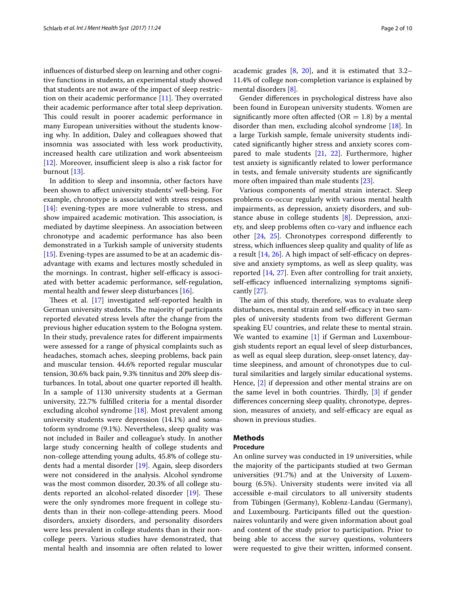influences of disturbed sleep on learning and other cognitive functions in students, an experimental study showed that students are not aware of the impact of sleep restriction on their academic performance [[11\]](#page-8-10). They overrated their academic performance after total sleep deprivation. This could result in poorer academic performance in many European universities without the students knowing why. In addition, Daley and colleagues showed that insomnia was associated with less work productivity, increased health care utilization and work absenteeism [[12\]](#page-8-11). Moreover, insufficient sleep is also a risk factor for burnout [[13\]](#page-8-12).

In addition to sleep and insomnia, other factors have been shown to affect university students' well-being. For example, chronotype is associated with stress responses [[14\]](#page-8-13): evening-types are more vulnerable to stress, and show impaired academic motivation. This association, is mediated by daytime sleepiness. An association between chronotype and academic performance has also been demonstrated in a Turkish sample of university students [[15\]](#page-8-14). Evening-types are assumed to be at an academic disadvantage with exams and lectures mostly scheduled in the mornings. In contrast, higher self-efficacy is associated with better academic performance, self-regulation, mental health and fewer sleep disturbances [[16\]](#page-8-15).

Thees et al. [[17\]](#page-8-16) investigated self-reported health in German university students. The majority of participants reported elevated stress levels after the change from the previous higher education system to the Bologna system. In their study, prevalence rates for different impairments were assessed for a range of physical complaints such as headaches, stomach aches, sleeping problems, back pain and muscular tension. 44.6% reported regular muscular tension, 30.6% back pain, 9.3% tinnitus and 20% sleep disturbances. In total, about one quarter reported ill health. In a sample of 1130 university students at a German university, 22.7% fulfilled criteria for a mental disorder excluding alcohol syndrome [[18](#page-8-17)]. Most prevalent among university students were depression (14.1%) and somatoform syndrome (9.1%). Nevertheless, sleep quality was not included in Bailer and colleague's study. In another large study concerning health of college students and non-college attending young adults, 45.8% of college students had a mental disorder [\[19](#page-9-0)]. Again, sleep disorders were not considered in the analysis. Alcohol syndrome was the most common disorder, 20.3% of all college students reported an alcohol-related disorder [[19\]](#page-9-0). These were the only syndromes more frequent in college students than in their non-college-attending peers. Mood disorders, anxiety disorders, and personality disorders were less prevalent in college students than in their noncollege peers. Various studies have demonstrated, that mental health and insomnia are often related to lower academic grades [\[8](#page-8-7), [20\]](#page-9-1), and it is estimated that 3.2– 11.4% of college non-completion variance is explained by mental disorders [[8\]](#page-8-7).

Gender differences in psychological distress have also been found in European university students. Women are significantly more often affected ( $OR = 1.8$ ) by a mental disorder than men, excluding alcohol syndrome [\[18](#page-8-17)]. In a large Turkish sample, female university students indicated significantly higher stress and anxiety scores compared to male students [[21](#page-9-2), [22\]](#page-9-3). Furthermore, higher test anxiety is significantly related to lower performance in tests, and female university students are significantly more often impaired than male students [\[23\]](#page-9-4).

Various components of mental strain interact. Sleep problems co-occur regularly with various mental health impairments, as depression, anxiety disorders, and substance abuse in college students [\[8](#page-8-7)]. Depression, anxiety, and sleep problems often co-vary and influence each other [\[24,](#page-9-5) [25](#page-9-6)]. Chronotypes correspond differently to stress, which influences sleep quality and quality of life as a result [\[14](#page-8-13), [26\]](#page-9-7). A high impact of self-efficacy on depressive and anxiety symptoms, as well as sleep quality, was reported [[14](#page-8-13), [27](#page-9-8)]. Even after controlling for trait anxiety, self-efficacy influenced internalizing symptoms significantly [[27\]](#page-9-8).

The aim of this study, therefore, was to evaluate sleep disturbances, mental strain and self-efficacy in two samples of university students from two different German speaking EU countries, and relate these to mental strain. We wanted to examine  $[1]$  $[1]$  $[1]$  if German and Luxembourgish students report an equal level of sleep disturbances, as well as equal sleep duration, sleep-onset latency, daytime sleepiness, and amount of chronotypes due to cultural similarities and largely similar educational systems. Hence, [[2](#page-8-1)] if depression and other mental strains are on the same level in both countries. Thirdly, [[3](#page-8-2)] if gender differences concerning sleep quality, chronotype, depression, measures of anxiety, and self-efficacy are equal as shown in previous studies.

### **Methods**

#### **Procedure**

An online survey was conducted in 19 universities, while the majority of the participants studied at two German universities (91.7%) and at the University of Luxembourg (6.5%). University students were invited via all accessible e-mail circulators to all university students from Tübingen (Germany), Koblenz-Landau (Germany), and Luxembourg. Participants filled out the questionnaires voluntarily and were given information about goal and content of the study prior to participation. Prior to being able to access the survey questions, volunteers were requested to give their written, informed consent.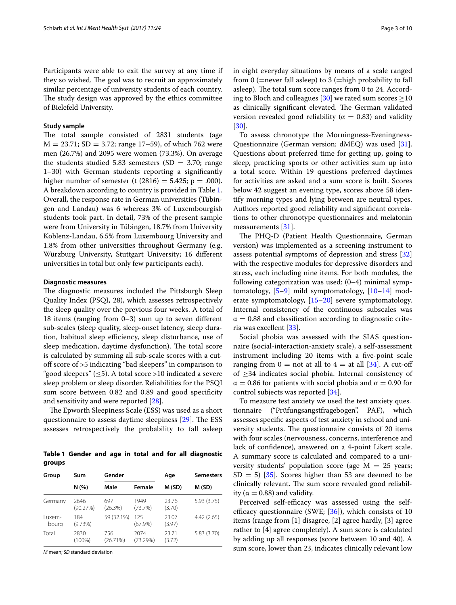Participants were able to exit the survey at any time if they so wished. The goal was to recruit an approximately similar percentage of university students of each country. The study design was approved by the ethics committee of Bielefeld University.

#### **Study sample**

The total sample consisted of 2831 students (age  $M = 23.71$ ; SD = 3.72; range 17–59), of which 762 were men (26.7%) and 2095 were women (73.3%). On average the students studied 5.83 semesters (SD  $=$  3.70; range 1–30) with German students reporting a significantly higher number of semester (t  $(2816) = 5.425$ ; p = .000). A breakdown according to country is provided in Table [1](#page-2-0). Overall, the response rate in German universities (Tübingen and Landau) was 6 whereas 3% of Luxembourgish students took part. In detail, 73% of the present sample were from University in Tübingen, 18.7% from University Koblenz-Landau, 6.5% from Luxembourg University and 1.8% from other universities throughout Germany (e.g. Würzburg University, Stuttgart University; 16 different universities in total but only few participants each).

#### **Diagnostic measures**

The diagnostic measures included the Pittsburgh Sleep Quality Index (PSQI, 28), which assesses retrospectively the sleep quality over the previous four weeks. A total of 18 items (ranging from 0–3) sum up to seven different sub-scales (sleep quality, sleep-onset latency, sleep duration, habitual sleep efficiency, sleep disturbance, use of sleep medication, daytime dysfunction). The total score is calculated by summing all sub-scale scores with a cutoff score of >5 indicating "bad sleepers" in comparison to "good sleepers" ( $\leq$ 5). A total score >10 indicated a severe sleep problem or sleep disorder. Reliabilities for the PSQI sum score between 0.82 and 0.89 and good specificity and sensitivity and were reported [\[28\]](#page-9-9).

The Epworth Sleepiness Scale (ESS) was used as a short questionnaire to assess daytime sleepiness [[29\]](#page-9-10). The ESS assesses retrospectively the probability to fall asleep

<span id="page-2-0"></span>**Table 1 Gender and age in total and for all diagnostic groups**

| Group           | Sum               | Gender          |                   | Age             | <b>Semesters</b> |  |
|-----------------|-------------------|-----------------|-------------------|-----------------|------------------|--|
|                 | N(%               | Male            | Female            | M (SD)          | M (SD)           |  |
| Germany         | 2646<br>(90.27%)  | 697<br>(26.3%)  | 1949<br>(73.7%)   | 23.76<br>(3.70) | 5.93 (3.75)      |  |
| Luxem-<br>bourg | 184<br>$(9.73\%)$ | 59 (32.1%)      | 125<br>$(67.9\%)$ | 23.07<br>(3.97) | 4.42(2.65)       |  |
| Total           | 2830<br>$(100\%)$ | 756<br>(26.71%) | 2074<br>(73.29%)  | 23.71<br>(3.72) | 5.83 (3.70)      |  |

*M* mean; *SD* standard deviation

in eight everyday situations by means of a scale ranged from 0 (=never fall asleep) to 3 (=high probability to fall asleep). The total sum score ranges from 0 to 24. Accord-ing to Bloch and colleagues [\[30](#page-9-11)] we rated sum scores  $\geq$ 10 as clinically significant elevated. The German validated version revealed good reliability ( $\alpha = 0.83$ ) and validity [[30\]](#page-9-11).

To assess chronotype the Morningness-Eveningness-Questionnaire (German version; dMEQ) was used [\[31](#page-9-12)]. Questions about preferred time for getting up, going to sleep, practicing sports or other activities sum up into a total score. Within 19 questions preferred daytimes for activities are asked and a sum score is built. Scores below 42 suggest an evening type, scores above 58 identify morning types and lying between are neutral types. Authors reported good reliability and significant correlations to other chronotype questionnaires and melatonin measurements [\[31\]](#page-9-12).

The PHQ-D (Patient Health Questionnaire, German version) was implemented as a screening instrument to assess potential symptoms of depression and stress [[32](#page-9-13)] with the respective modules for depressive disorders and stress, each including nine items. For both modules, the following categorization was used: (0–4) minimal symptomatology, [\[5](#page-8-4)[–9\]](#page-8-8) mild symptomatology, [\[10](#page-8-9)[–14\]](#page-8-13) moderate symptomatology, [\[15–](#page-8-14)[20\]](#page-9-1) severe symptomatology. Internal consistency of the continuous subscales was  $\alpha = 0.88$  and classification according to diagnostic criteria was excellent [\[33\]](#page-9-14).

Social phobia was assessed with the SIAS questionnaire (social-interaction-anxiety scale), a self-assessment instrument including 20 items with a five-point scale ranging from  $0 =$  not at all to  $4 =$  at all [\[34](#page-9-15)]. A cut-off of  $\geq$ 34 indicates social phobia. Internal consistency of  $\alpha = 0.86$  for patients with social phobia and  $\alpha = 0.90$  for control subjects was reported [[34\]](#page-9-15).

To measure test anxiety we used the test anxiety questionnaire ("Prüfungsangstfragebogen", PAF), which assesses specific aspects of test anxiety in school and university students. The questionnaire consists of 20 items with four scales (nervousness, concerns, interference and lack of confidence), answered on a 4-point Likert scale. A summary score is calculated and compared to a university students' population score (age  $M = 25$  years;  $SD = 5$ ) [[35](#page-9-16)]. Scores higher than 53 are deemed to be clinically relevant. The sum score revealed good reliability ( $\alpha = 0.88$ ) and validity.

Perceived self-efficacy was assessed using the selfefficacy questionnaire (SWE;  $[36]$  $[36]$ ), which consists of 10 items (range from [1] disagree, [2] agree hardly, [3] agree rather to [4] agree completely). A sum score is calculated by adding up all responses (score between 10 and 40). A sum score, lower than 23, indicates clinically relevant low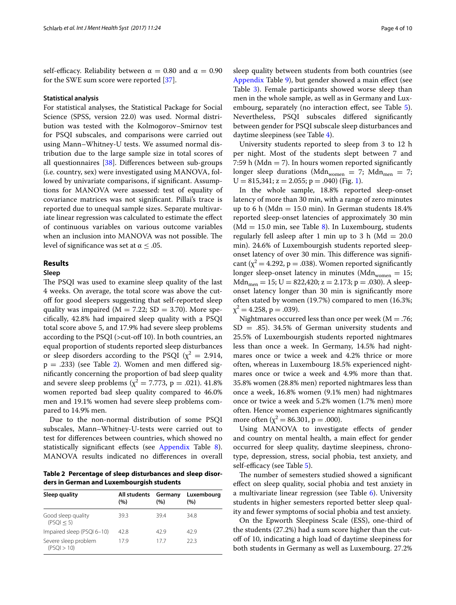self-efficacy. Reliability between  $\alpha = 0.80$  and  $\alpha = 0.90$ for the SWE sum score were reported [[37](#page-9-18)].

#### **Statistical analysis**

For statistical analyses, the Statistical Package for Social Science (SPSS, version 22.0) was used. Normal distribution was tested with the Kolmogorov–Smirnov test for PSQI subscales, and comparisons were carried out using Mann–Whitney-U tests. We assumed normal distribution due to the large sample size in total scores of all questionnaires [\[38\]](#page-9-19). Differences between sub-groups (i.e. country, sex) were investigated using MANOVA, followed by univariate comparisons, if significant. Assumptions for MANOVA were assessed: test of equality of covariance matrices was not significant. Pillai's trace is reported due to unequal sample sizes. Separate multivariate linear regression was calculated to estimate the effect of continuous variables on various outcome variables when an inclusion into MANOVA was not possible. The level of significance was set at  $\alpha \leq .05$ .

#### **Results**

#### **Sleep**

The PSQI was used to examine sleep quality of the last 4 weeks. On average, the total score was above the cutoff for good sleepers suggesting that self-reported sleep quality was impaired ( $M = 7.22$ ; SD = 3.70). More specifically, 42.8% had impaired sleep quality with a PSQI total score above 5, and 17.9% had severe sleep problems according to the PSQI (>cut-off 10). In both countries, an equal proportion of students reported sleep disturbances or sleep disorders according to the PSQI ( $\chi^2 = 2.914$ ,  $p = .233$ ) (see Table [2\)](#page-3-0). Women and men differed significantly concerning the proportion of bad sleep quality and severe sleep problems ( $\chi^2 = 7.773$ , p = .021). 41.8% women reported bad sleep quality compared to 46.0% men and 19.1% women had severe sleep problems compared to 14.9% men.

Due to the non-normal distribution of some PSQI subscales, Mann–Whitney-U-tests were carried out to test for differences between countries, which showed no statistically significant effects (see [Appendix](#page-7-0) Table [8](#page-8-18)). MANOVA results indicated no differences in overall

<span id="page-3-0"></span>**Table 2 Percentage of sleep disturbances and sleep disorders in German and Luxembourgish students**

| Sleep quality                       | All students<br>(%) | Germany<br>(%) | Luxembourg<br>(%) |
|-------------------------------------|---------------------|----------------|-------------------|
| Good sleep quality<br>(PSO I < 5)   | 39.3                | 394            | 348               |
| Impaired sleep (PSQI 6-10)          | 42.8                | 429            | 429               |
| Severe sleep problem<br>(PSOI > 10) | 179                 | 177            | 22 3              |

sleep quality between students from both countries (see [Appendix](#page-7-0) Table [9](#page-8-19)), but gender showed a main effect (see Table [3\)](#page-4-0). Female participants showed worse sleep than men in the whole sample, as well as in Germany and Lux-embourg, separately (no interaction effect, see Table [5](#page-4-1)). Nevertheless, PSQI subscales differed significantly between gender for PSQI subscale sleep disturbances and daytime sleepiness (see Table [4\)](#page-4-2).

University students reported to sleep from 3 to 12 h per night. Most of the students slept between 7 and 7:59 h (Mdn  $=$  7). In hours women reported significantly longer sleep durations (Mdn<sub>women</sub> = 7; Mdn<sub>men</sub> = 7;  $U = 815,341; z = 2.055; p = .040$  (Fig. [1\)](#page-4-3).

In the whole sample, 18.8% reported sleep-onset latency of more than 30 min, with a range of zero minutes up to 6 h (Mdn = 15.0 min). In German students  $18.4\%$ reported sleep-onset latencies of approximately 30 min (Md = 15.0 min, see Table [8](#page-8-18)). In Luxembourg, students regularly fell asleep after 1 min up to 3 h ( $Md = 20.0$ min). 24.6% of Luxembourgish students reported sleeponset latency of over 30 min. This difference was significant ( $\chi^2$  = 4.292, p = .038). Women reported significantly longer sleep-onset latency in minutes (Mdn<sub>women</sub> = 15;  $Mdn_{\text{men}} = 15$ ; U = 822,420; z = 2.173; p = .030). A sleeponset latency longer than 30 min is significantly more often stated by women (19.7%) compared to men (16.3%;  $\chi^2 = 4.258$ , p = .039).

Nightmares occurred less than once per week ( $M = .76$ ;  $SD = .85$ ). 34.5% of German university students and 25.5% of Luxembourgish students reported nightmares less than once a week. In Germany, 14.5% had nightmares once or twice a week and 4.2% thrice or more often, whereas in Luxembourg 18.5% experienced nightmares once or twice a week and 4.9% more than that. 35.8% women (28.8% men) reported nightmares less than once a week, 16.8% women (9.1% men) had nightmares once or twice a week and 5.2% women (1.7% men) more often. Hence women experience nightmares significantly more often  $(\chi^2 = 86.301, p = .000)$ .

Using MANOVA to investigate effects of gender and country on mental health, a main effect for gender occurred for sleep quality, daytime sleepiness, chronotype, depression, stress, social phobia, test anxiety, and self-efficacy (see Table [5\)](#page-4-1).

The number of semesters studied showed a significant effect on sleep quality, social phobia and test anxiety in a multivariate linear regression (see Table [6\)](#page-5-0). University students in higher semesters reported better sleep quality and fewer symptoms of social phobia and test anxiety.

On the Epworth Sleepiness Scale (ESS), one-third of the students (27.2%) had a sum score higher than the cutoff of 10, indicating a high load of daytime sleepiness for both students in Germany as well as Luxembourg. 27.2%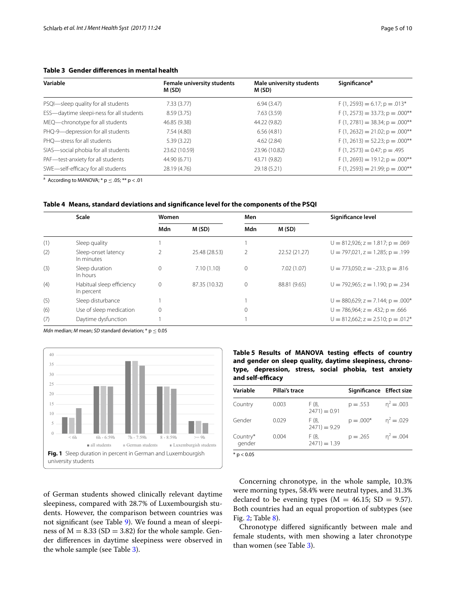#### <span id="page-4-0"></span>**Table 3 Gender differences in mental health**

| Variable                                 | <b>Female university students</b><br>M (SD) | Male university students<br>M (SD) | <b>Significance<sup>a</sup></b>      |
|------------------------------------------|---------------------------------------------|------------------------------------|--------------------------------------|
| PSQI-sleep quality for all students      | 7.33(3.77)                                  | 6.94(3.47)                         | $F(1, 2593) = 6.17$ ; $p = .013*$    |
| ESS-daytime sleepi-ness for all students | 8.59 (3.75)                                 | 7.63(3.59)                         | $F(1, 2573) = 33.73$ ; $p = .000**$  |
| MEQ-chronotype for all students          | 46.85 (9.38)                                | 44.22 (9.82)                       | $F(1, 2781) = 38.34; p = .000**$     |
| PHQ-9-depression for all students        | 7.54(4.80)                                  | 6.56(4.81)                         | $F(1, 2632) = 21.02$ ; $p = .000$ ** |
| PHQ-stress for all students              | 5.39(3.22)                                  | 4.62(2.84)                         | $F(1, 2613) = 52.23$ ; $p = .000**$  |
| SIAS-social phobia for all students      | 23.62 (10.59)                               | 23.96 (10.82)                      | $F(1, 2573) = 0.47$ ; $p = .495$     |
| PAF-test-anxiety for all students        | 44.90 (6.71)                                | 43.71 (9.82)                       | $F(1, 2693) = 19.12$ ; $p = .000**$  |
| SWE-self-efficacy for all students       | 28.19 (4.76)                                | 29.18 (5.21)                       | $F(1, 2593) = 21.99$ ; $p = .000**$  |

<sup>a</sup> According to MANOVA;  $*$  p  $\leq$  .05;  $**$  p  $<$  .01

<span id="page-4-2"></span>

|  |  | Table 4 Means, standard deviations and significance level for the components of the PSQI |
|--|--|------------------------------------------------------------------------------------------|
|  |  |                                                                                          |

|     | <b>Scale</b>                            | Women    |               | Men         |               | Significance level                                    |
|-----|-----------------------------------------|----------|---------------|-------------|---------------|-------------------------------------------------------|
|     |                                         | Mdn      | M(SD)         | Mdn         | M(SD)         |                                                       |
| (1) | Sleep quality                           |          |               |             |               | $U = 812,926$ ; $z = 1.817$ ; $p = .069$              |
| (2) | Sleep-onset latency<br>In minutes       |          | 25.48 (28.53) | 2           | 22.52 (21.27) | $U = 797,021$ , $z = 1.285$ ; $p = .199$              |
| (3) | Sleep duration<br>In hours              | $\Omega$ | 7.10(1.10)    | $\circ$     | 7.02(1.07)    | $U = 773,050$ ; $z = -.233$ ; $p = .816$              |
| (4) | Habitual sleep efficiency<br>In percent | $\Omega$ | 87.35 (10.32) | $\mathbf 0$ | 88.81 (9.65)  | $U = 792,965$ ; $z = 1.190$ ; $p = .234$              |
| (5) | Sleep disturbance                       |          |               |             |               | $U = 880,629$ ; $z = 7.144$ ; $p = .000*$             |
| (6) | Use of sleep medication                 | $\Omega$ |               | $\mathbf 0$ |               | $U = 786,964$ ; $z = .432$ ; $p = .666$               |
| (7) | Daytime dysfunction                     |          |               |             |               | $U = 812,662$ ; $z = 2.510$ ; $p = .012$ <sup>*</sup> |

*Mdn* median; *M* mean; *SD* standard deviation;  $*$  p  $\leq$  0.05



<span id="page-4-1"></span>**Table 5 Results of MANOVA testing effects of country and gender on sleep quality, daytime sleepiness, chronotype, depression, stress, social phobia, test anxiety and self-efficacy**

| Variable           | Pillai's trace |                        | Significance Effect size |              |
|--------------------|----------------|------------------------|--------------------------|--------------|
| Country            | 0.003          | F (8.<br>$2471 = 0.91$ | $p = .553$               | $n^2 = .003$ |
| Gender             | 0.029          | F (8.<br>$2471 = 9.29$ | $p = .000*$              | $n^2 = .029$ |
| Country*<br>gender | 0.004          | F (8.<br>$2471 = 1.39$ | $p = .265$               | $n^2 = .004$ |
|                    |                |                        |                          |              |

 $*$  p  $< 0.05$ 

Concerning chronotype, in the whole sample, 10.3% were morning types, 58.4% were neutral types, and 31.3% declared to be evening types ( $M = 46.15$ ; SD = 9.57). Both countries had an equal proportion of subtypes (see Fig. [2;](#page-5-1) Table [8\)](#page-8-18).

Chronotype differed significantly between male and female students, with men showing a later chronotype than women (see Table [3\)](#page-4-0).

<span id="page-4-3"></span>of German students showed clinically relevant daytime sleepiness, compared with 28.7% of Luxembourgish students. However, the comparison between countries was not significant (see Table [9\)](#page-8-19). We found a mean of sleepiness of  $M = 8.33$  (SD = 3.82) for the whole sample. Gender differences in daytime sleepiness were observed in the whole sample (see Table [3\)](#page-4-0).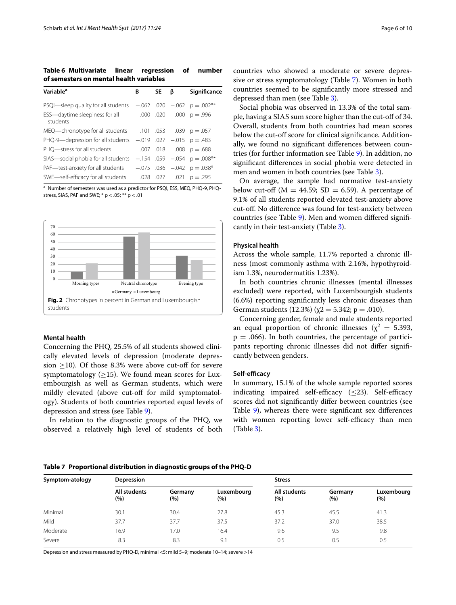<span id="page-5-0"></span>**Table 6 Multivariate linear regression of number of semesters on mental health variables**

| Variable <sup>a</sup>                                           | В | SΕ        | ß | Significance                     |
|-----------------------------------------------------------------|---|-----------|---|----------------------------------|
| PSQI-sleep quality for all students                             |   |           |   | $-.062$ .020 $-.062$ p $=.002**$ |
| ESS-daytime sleepiness for all<br>students                      |   | .000 .020 |   | $.000 p = .996$                  |
| MEQ—chronotype for all students                                 |   |           |   | $.053$ $.039$ $p = .057$         |
| PHQ-9—depression for all students $-.019$ .027 $-.015$ p = .483 |   |           |   |                                  |
| PHO-stress for all students                                     |   |           |   | $.007$ $.018$ $.008$ $p = .688$  |
| SIAS-social phobia for all students                             |   |           |   | $-.154$ .059 $-.054$ p $=.008**$ |
| PAF—test-anxiety for all students                               |   |           |   | $-.075$ .036 $-.042$ p $=.038*$  |
| SWE-self-efficacy for all students                              |   |           |   | $.028$ $.027$ $.021$ $p = .295$  |

<sup>a</sup> Number of semesters was used as a predictor for PSQI, ESS, MEQ, PHQ-9, PHQstress, SIAS, PAF and SWE; \* p < .05; \*\* p < .01



#### <span id="page-5-1"></span>**Mental health**

Concerning the PHQ, 25.5% of all students showed clinically elevated levels of depression (moderate depression  $\geq$ 10). Of those 8.3% were above cut-off for severe symptomatology  $(\geq 15)$ . We found mean scores for Luxembourgish as well as German students, which were mildly elevated (above cut-off for mild symptomatology). Students of both countries reported equal levels of depression and stress (see Table [9\)](#page-8-19).

In relation to the diagnostic groups of the PHQ, we observed a relatively high level of students of both

countries who showed a moderate or severe depressive or stress symptomatology (Table [7\)](#page-5-2). Women in both countries seemed to be significantly more stressed and depressed than men (see Table [3\)](#page-4-0).

Social phobia was observed in 13.3% of the total sample, having a SIAS sum score higher than the cut-off of 34. Overall, students from both countries had mean scores below the cut-off score for clinical significance. Additionally, we found no significant differences between countries (for further information see Table [9](#page-8-19)). In addition, no significant differences in social phobia were detected in men and women in both countries (see Table [3](#page-4-0)).

On average, the sample had normative test-anxiety below cut-off ( $M = 44.59$ ; SD = 6.59). A percentage of 9.1% of all students reported elevated test-anxiety above cut-off. No difference was found for test-anxiety between countries (see Table [9\)](#page-8-19). Men and women differed significantly in their test-anxiety (Table [3](#page-4-0)).

#### **Physical health**

Across the whole sample, 11.7% reported a chronic illness (most commonly asthma with 2.16%, hypothyroidism 1.3%, neurodermatitis 1.23%).

In both countries chronic illnesses (mental illnesses excluded) were reported, with Luxembourgish students (6.6%) reporting significantly less chronic diseases than German students (12.3%) ( $\chi$ 2 = 5.342; p = .010).

Concerning gender, female and male students reported an equal proportion of chronic illnesses ( $\chi^2 = 5.393$ ,  $p = .066$ ). In both countries, the percentage of participants reporting chronic illnesses did not differ significantly between genders.

#### **Self‑efficacy**

In summary, 15.1% of the whole sample reported scores indicating impaired self-efficacy  $(\leq 23)$ . Self-efficacy scores did not significantly differ between countries (see Table [9\)](#page-8-19), whereas there were significant sex differences with women reporting lower self-efficacy than men (Table [3\)](#page-4-0).

#### <span id="page-5-2"></span>**Table 7 Proportional distribution in diagnostic groups of the PHQ-D**

| Symptom-atology | Depression          |                |                   | <b>Stress</b>       |                |                   |
|-----------------|---------------------|----------------|-------------------|---------------------|----------------|-------------------|
|                 | All students<br>(%) | Germany<br>(%) | Luxembourg<br>(%) | All students<br>(%) | Germany<br>(%) | Luxembourg<br>(%) |
| Minimal         | 30.1                | 30.4           | 27.8              | 45.3                | 45.5           | 41.3              |
| Mild            | 37.7                | 37.7           | 37.5              | 37.2                | 37.0           | 38.5              |
| Moderate        | 16.9                | 17.0           | 16.4              | 9.6                 | 9.5            | 9.8               |
| Severe          | 8.3                 | 8.3            | 9.1               | 0.5                 | 0.5            | 0.5               |

Depression and stress measured by PHQ-D, minimal <5; mild 5–9; moderate 10–14; severe >14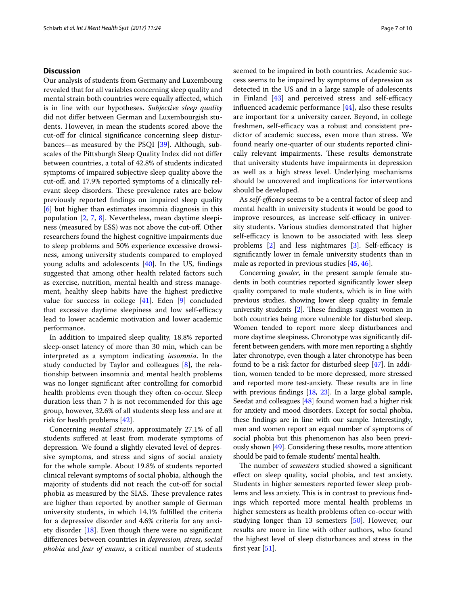#### **Discussion**

Our analysis of students from Germany and Luxembourg revealed that for all variables concerning sleep quality and mental strain both countries were equally affected, which is in line with our hypotheses. *Subjective sleep quality* did not differ between German and Luxembourgish students. However, in mean the students scored above the cut-off for clinical significance concerning sleep disturbances—as measured by the PSQI [[39\]](#page-9-20). Although, subscales of the Pittsburgh Sleep Quality Index did not differ between countries, a total of 42.8% of students indicated symptoms of impaired subjective sleep quality above the cut-off, and 17.9% reported symptoms of a clinically relevant sleep disorders. These prevalence rates are below previously reported findings on impaired sleep quality [[6\]](#page-8-5) but higher than estimates insomnia diagnosis in this population [[2,](#page-8-1) [7](#page-8-6), [8\]](#page-8-7). Nevertheless, mean daytime sleepiness (measured by ESS) was not above the cut-off. Other researchers found the highest cognitive impairments due to sleep problems and 50% experience excessive drowsiness, among university students compared to employed young adults and adolescents [\[40\]](#page-9-21). In the US, findings suggested that among other health related factors such as exercise, nutrition, mental health and stress management, healthy sleep habits have the highest predictive value for success in college [\[41](#page-9-22)]. Eden [[9\]](#page-8-8) concluded that excessive daytime sleepiness and low self-efficacy lead to lower academic motivation and lower academic performance.

In addition to impaired sleep quality, 18.8% reported sleep-onset latency of more than 30 min, which can be interpreted as a symptom indicating *insomnia*. In the study conducted by Taylor and colleagues [[8\]](#page-8-7), the relationship between insomnia and mental health problems was no longer significant after controlling for comorbid health problems even though they often co-occur. Sleep duration less than 7 h is not recommended for this age group, however, 32.6% of all students sleep less and are at risk for health problems [[42\]](#page-9-23).

Concerning *mental strain*, approximately 27.1% of all students suffered at least from moderate symptoms of depression. We found a slightly elevated level of depressive symptoms, and stress and signs of social anxiety for the whole sample. About 19.8% of students reported clinical relevant symptoms of social phobia, although the majority of students did not reach the cut-off for social phobia as measured by the SIAS. These prevalence rates are higher than reported by another sample of German university students, in which 14.1% fulfilled the criteria for a depressive disorder and 4.6% criteria for any anxiety disorder  $[18]$  $[18]$ . Even though there were no significant differences between countries in *depression, stress, social phobia* and *fear of exams*, a critical number of students seemed to be impaired in both countries. Academic success seems to be impaired by symptoms of depression as detected in the US and in a large sample of adolescents in Finland [[43\]](#page-9-24) and perceived stress and self-efficacy influenced academic performance [\[44](#page-9-25)], also these results are important for a university career. Beyond, in college freshmen, self-efficacy was a robust and consistent predictor of academic success, even more than stress. We found nearly one-quarter of our students reported clinically relevant impairments. These results demonstrate that university students have impairments in depression as well as a high stress level. Underlying mechanisms should be uncovered and implications for interventions should be developed.

As *self-efficacy* seems to be a central factor of sleep and mental health in university students it would be good to improve resources, as increase self-efficacy in university students. Various studies demonstrated that higher self-efficacy is known to be associated with less sleep problems [[2\]](#page-8-1) and less nightmares [\[3](#page-8-2)]. Self-efficacy is significantly lower in female university students than in male as reported in previous studies [\[45](#page-9-26), [46\]](#page-9-27).

Concerning *gender*, in the present sample female students in both countries reported significantly lower sleep quality compared to male students, which is in line with previous studies, showing lower sleep quality in female university students [[2\]](#page-8-1). These findings suggest women in both countries being more vulnerable for disturbed sleep. Women tended to report more sleep disturbances and more daytime sleepiness. Chronotype was significantly different between genders, with more men reporting a slightly later chronotype, even though a later chronotype has been found to be a risk factor for disturbed sleep [\[47\]](#page-9-28). In addition, women tended to be more depressed, more stressed and reported more test-anxiety. These results are in line with previous findings [\[18,](#page-8-17) [23](#page-9-4)]. In a large global sample, Seedat and colleagues [[48](#page-9-29)] found women had a higher risk for anxiety and mood disorders. Except for social phobia, these findings are in line with our sample. Interestingly, men and women report an equal number of symptoms of social phobia but this phenomenon has also been previously shown [[49](#page-9-30)]. Considering these results, more attention should be paid to female students' mental health.

The number of *semesters* studied showed a significant effect on sleep quality, social phobia, and test anxiety. Students in higher semesters reported fewer sleep problems and less anxiety. This is in contrast to previous findings which reported more mental health problems in higher semesters as health problems often co-occur with studying longer than 13 semesters [\[50\]](#page-9-31). However, our results are more in line with other authors, who found the highest level of sleep disturbances and stress in the first year  $[51]$  $[51]$ .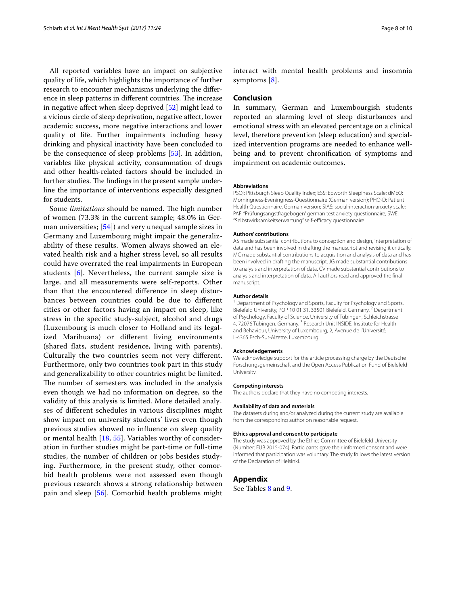All reported variables have an impact on subjective quality of life, which highlights the importance of further research to encounter mechanisms underlying the difference in sleep patterns in different countries. The increase in negative affect when sleep deprived [[52\]](#page-9-33) might lead to a vicious circle of sleep deprivation, negative affect, lower academic success, more negative interactions and lower quality of life. Further impairments including heavy drinking and physical inactivity have been concluded to be the consequence of sleep problems [\[53](#page-9-34)]. In addition, variables like physical activity, consummation of drugs and other health-related factors should be included in further studies. The findings in the present sample underline the importance of interventions especially designed for students.

Some *limitations* should be named. The high number of women (73.3% in the current sample; 48.0% in German universities;  $[54]$  $[54]$  and very unequal sample sizes in Germany and Luxembourg might impair the generalizability of these results. Women always showed an elevated health risk and a higher stress level, so all results could have overrated the real impairments in European students [[6](#page-8-5)]. Nevertheless, the current sample size is large, and all measurements were self-reports. Other than that the encountered difference in sleep disturbances between countries could be due to different cities or other factors having an impact on sleep, like stress in the specific study-subject, alcohol and drugs (Luxembourg is much closer to Holland and its legalized Marihuana) or different living environments (shared flats, student residence, living with parents). Culturally the two countries seem not very different. Furthermore, only two countries took part in this study and generalizability to other countries might be limited. The number of semesters was included in the analysis even though we had no information on degree, so the validity of this analysis is limited. More detailed analyses of different schedules in various disciplines might show impact on university students' lives even though previous studies showed no influence on sleep quality or mental health [[18,](#page-8-17) [55\]](#page-9-36). Variables worthy of consideration in further studies might be part-time or full-time studies, the number of children or jobs besides studying. Furthermore, in the present study, other comorbid health problems were not assessed even though previous research shows a strong relationship between pain and sleep [\[56](#page-9-37)]. Comorbid health problems might interact with mental health problems and insomnia symptoms [[8](#page-8-7)].

#### **Conclusion**

In summary, German and Luxembourgish students reported an alarming level of sleep disturbances and emotional stress with an elevated percentage on a clinical level, therefore prevention (sleep education) and specialized intervention programs are needed to enhance wellbeing and to prevent chronification of symptoms and impairment on academic outcomes.

#### **Abbreviations**

PSQI: Pittsburgh Sleep Quality Index; ESS: Epworth Sleepiness Scale; dMEQ: Morningness-Eveningness-Questionnaire (German version); PHQ-D: Patient Health Questionnaire, German version; SIAS: social-interaction-anxiety scale; PAF: "Prüfungsangstfragebogen" german test anxiety questionnaire; SWE: "Selbstwirksamkeitserwartung" self-efficacy questionnaire.

#### **Authors' contributions**

AS made substantial contributions to conception and design, interpretation of data and has been involved in drafting the manuscript and revising it critically. MC made substantial contributions to acquisition and analysis of data and has been involved in drafting the manuscript. JG made substantial contributions to analysis and interpretation of data. CV made substantial contributions to analysis and interpretation of data. All authors read and approved the final manuscript.

#### **Author details**

<sup>1</sup> Department of Psychology and Sports, Faculty for Psychology and Sports, Bielefeld University, POP 10 01 31, 33501 Bielefeld, Germany. <sup>2</sup> Department of Psychology, Faculty of Science, University of Tübingen, Schleichstrasse 4, 72076 Tübingen, Germany.<sup>3</sup> Research Unit INSIDE, Institute for Health and Behaviour, University of Luxembourg, 2, Avenue de l'Université, L-4365 Esch-Sur-Alzette, Luxembourg.

#### **Acknowledgements**

We acknowledge support for the article processing charge by the Deutsche Forschungsgemeinschaft and the Open Access Publication Fund of Bielefeld University.

#### **Competing interests**

The authors declare that they have no competing interests.

#### **Availability of data and materials**

The datasets during and/or analyzed during the current study are available from the corresponding author on reasonable request.

#### **Ethics approval and consent to participate**

The study was approved by the Ethics Committee of Bielefeld University (Number: EUB 2015-074). Participants gave their informed consent and were informed that participation was voluntary. The study follows the latest version of the Declaration of Helsinki.

#### <span id="page-7-0"></span>**Appendix**

See Tables [8](#page-8-18) and [9](#page-8-19).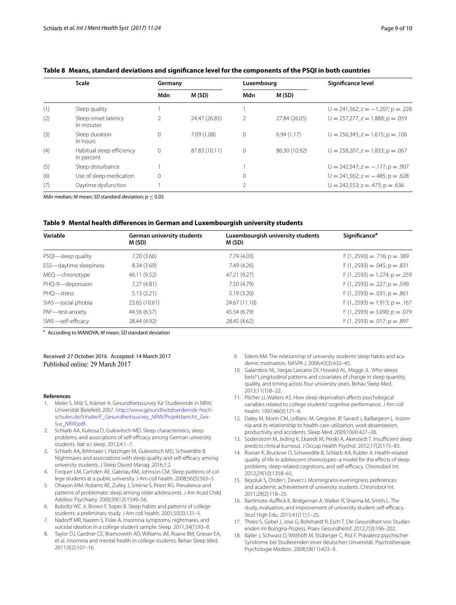|     | <b>Scale</b>                            | Germany      |               | Luxembourg |               | Significance level                        |
|-----|-----------------------------------------|--------------|---------------|------------|---------------|-------------------------------------------|
|     |                                         | Mdn          | M(SD)         | Mdn        | M(SD)         |                                           |
| (1) | Sleep quality                           |              |               |            |               | $U = 241,562$ ; $z = -1.207$ ; $p = .228$ |
| (2) | Sleep-onset latency<br>In minutes       |              | 24.47 (26.85) |            | 27.84 (26.05) | $U = 257,277, z = 1.888; p = .059$        |
| (3) | Sleep duration<br>In hours              | $\Omega$     | 7.09(1.08)    |            | 6.94(1.17)    | $U = 256,345$ ; $z = 1.615$ ; $p = .106$  |
| (4) | Habitual sleep efficiency<br>In percent | $\mathbf{0}$ | 87.83 (10.11) |            | 86.30 (10.92) | $U = 258.207$ : $z = 1.833$ : $p = .067$  |
| (5) | Sleep disturbance                       |              |               |            |               | $U = 242,547$ ; $z = -.177$ ; $p = .907$  |
| (6) | Use of sleep medication                 | $\Omega$     |               |            |               | $U = 241,562$ ; $z = -.485$ ; $p = .628$  |
| (7) | Daytime dysfunction                     |              |               |            |               | $U = 242,553$ ; $z = .473$ ; $p = .636$   |

#### <span id="page-8-18"></span>**Table 8 Means, standard deviations and significance level for the components of the PSQI in both countries**

*Mdn* median; *M* mean; *SD* standard deviation;  $p \le 0.05$ 

#### <span id="page-8-19"></span>**Table 9 Mental health differences in German and Luxembourgish university students**

| Variable               | German university students<br>M (SD) | Luxembourgish university students<br>M (SD) | <b>Significance<sup>a</sup></b>   |
|------------------------|--------------------------------------|---------------------------------------------|-----------------------------------|
| PSQI-sleep quality     | 7.20(3.66)                           | 7.79(4.03)                                  | $F(1, 2593) = .716$ ; $p = .389$  |
| ESS-daytime sleepiness | 8.34(3.69)                           | 7.49 (4.26)                                 | $F(1, 2593) = .045; p = .831$     |
| MEQ-chronotype         | 46.11 (9.52)                         | 47.21 (9.27)                                | $F(1, 2593) = 1.274$ ; $p = .259$ |
| PHQ-9-depression       | 7.27(4.81)                           | 7.50 (4.79)                                 | $F(1, 2593) = .227$ ; $p = .599$  |
| PHO-stress             | 5.13(3.21)                           | 5.19(3.20)                                  | $F(1, 2593) = .031$ ; $p = .861$  |
| SIAS-social phobia     | 23.65 (10.61)                        | 24.67 (11.10)                               | $F(1, 2593) = 1.913$ ; $p = .167$ |
| PAF-test-anxiety       | 44.56 (6.57)                         | 45.54 (6.79)                                | $F(1, 2593) = 3.090; p = .079$    |
| SWE-self-efficacy      | 28.44 (4.92)                         | 28.45 (4.62)                                | $F(1, 2593) = .017$ ; $p = .897$  |

<sup>a</sup> According to MANOVA; *M* mean; *SD* standard deviation

# Received: 27 October 2016 Accepted: 14 March 2017<br>Published online: 29 March 2017

#### **References**

- <span id="page-8-0"></span>1. Meier S, Milz S, Krämer A. Gesundheitssurvey für Studierende in NRW. Universität Bielefeld; 2007. [http://www.gesundheitsfoerdernde-hoch](http://www.gesundheitsfoerdernde-hochschulen.de/Inhalte/F_Gesundheitssurvey_NRW/Projektbericht_GesSur_NRW.pdf.)[schulen.de/Inhalte/F\\_Gesundheitssurvey\\_NRW/Projektbericht\\_Ges-](http://www.gesundheitsfoerdernde-hochschulen.de/Inhalte/F_Gesundheitssurvey_NRW/Projektbericht_GesSur_NRW.pdf.)[Sur\\_NRW.pdf.](http://www.gesundheitsfoerdernde-hochschulen.de/Inhalte/F_Gesundheitssurvey_NRW/Projektbericht_GesSur_NRW.pdf.).
- <span id="page-8-1"></span>2. Schlarb AA, Kulessa D, Gulewitsch MD. Sleep characteristics, sleep problems, and associations of self-efficacy among German university students. Nat sci sleep. 2012;4:1–7.
- <span id="page-8-2"></span>3. Schlarb AA, Bihlmaier I, Hatzinger M, Gulewitsch MD, Schwerdtle B. Nightmares and associations with sleep quality and self-efficacy among university students. J Sleep Disord Manag. 2016;1:2.
- <span id="page-8-3"></span>4. Forquer LM, Camden AE, Gabriau KM, Johnson CM. Sleep patterns of college students at a public university. J Am coll health. 2008;56(5):563–5.
- <span id="page-8-4"></span>5. Ohayon MM, Roberts RE, Zulley J, Smirne S, Priest RG. Prevalence and patterns of problematic sleep among older adolescents. J Am Acad Child Adolesc Psychiatry. 2000;39(12):1549–56.
- <span id="page-8-5"></span>6. Buboltz WC Jr, Brown F, Soper B. Sleep habits and patterns of college students: a preliminary study. J Am coll health. 2001;50(3):131–5.
- <span id="page-8-6"></span>7. Nadorff MR, Nazem S, Fiske A. Insomnia symptoms, nightmares, and suicidal ideation in a college student sample. Sleep. 2011;34(1):93–8.
- <span id="page-8-7"></span>8. Taylor DJ, Gardner CE, Bramoweth AD, Williams JM, Roane BM, Grieser EA, et al. Insomnia and mental health in college students. Behav Sleep Med. 2011;9(2):107–16.
- <span id="page-8-8"></span>9. Edens KM. The relationship of university students' sleep habits and academic motivation. NASPA J. 2006;43(3):432–45.
- <span id="page-8-9"></span>10. Galambos NL, Vargas Lascano DI, Howard AL, Maggs JL. Who sleeps best? Longitudinal patterns and covariates of change in sleep quantity, quality, and timing across four university years. Behav Sleep Med. 2013;11(1):8–22.
- <span id="page-8-10"></span>11. Pilcher JJ, Walters AS. How sleep deprivation affects psychological variables related to college students' cognitive performance. J Am coll health. 1997;46(3):121–6.
- <span id="page-8-11"></span>12. Daley M, Morin CM, LeBlanc M, Gregoire JP, Savard J, Baillargeon L. Insomnia and its relationship to health-care utilization, work absenteeism, productivity and accidents. Sleep Med. 2009;10(4):427–38.
- <span id="page-8-12"></span>13. Soderstrom M, Jeding K, Ekstedt M, Perski A, Akerstedt T. Insufficient sleep predicts clinical burnout. J Occup Health Psychol. 2012;17(2):175–83.
- <span id="page-8-13"></span>14. Roeser K, Bruckner D, Schwerdtle B, Schlarb AA, Kubler A. Health-related quality of life in adolescent chronotypes–a model for the effects of sleep problems, sleep-related cognitions, and self-efficacy. Chronobiol Int. 2012;29(10):1358–65.
- <span id="page-8-14"></span>15. Beşoluk S, Onder I, Deveci I. Morningness-eveningness preferences and academic achievement of university students. Chronobiol Int. 2011;28(2):118–25.
- <span id="page-8-15"></span>16. Bartimote-Aufflick K, Bridgeman A, Walker R, Sharma M, Smith L. The study, evaluation, and improvement of university student self-efficacy. Stud High Edu. 2015;41(11):1–25.
- <span id="page-8-16"></span>17. Thees S, Gobel J, Jose G, Bohrhardt R, Esch T. Die Gesundheit von Studierenden im Bologna-Prozess. Praev Gesundheitsf. 2012;7(3):196–202.
- <span id="page-8-17"></span>18. Bailer J, Schwarz D, Witthöft M, Stübinger C, Rist F. Prävalenz psychischer Syndrome bei Studierenden einer deutschen Universität. Psychotherapie Psychologie Medizin. 2008;58(11):423–9.